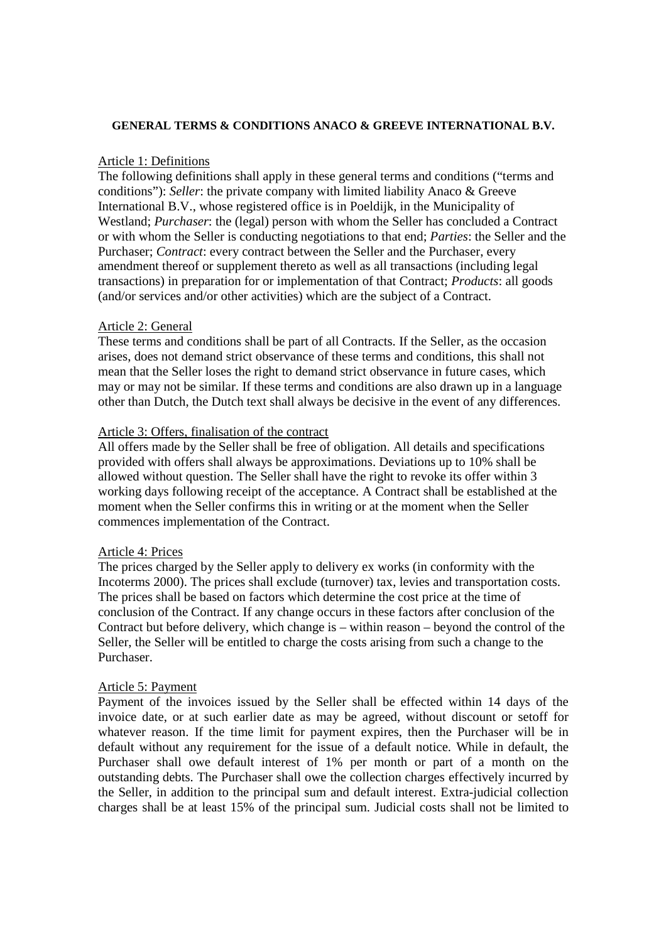## **GENERAL TERMS & CONDITIONS ANACO & GREEVE INTERNATIONAL B.V.**

## Article 1: Definitions

The following definitions shall apply in these general terms and conditions ("terms and conditions"): *Seller*: the private company with limited liability Anaco & Greeve International B.V., whose registered office is in Poeldijk, in the Municipality of Westland; *Purchaser*: the (legal) person with whom the Seller has concluded a Contract or with whom the Seller is conducting negotiations to that end; *Parties*: the Seller and the Purchaser; *Contract*: every contract between the Seller and the Purchaser, every amendment thereof or supplement thereto as well as all transactions (including legal transactions) in preparation for or implementation of that Contract; *Products*: all goods (and/or services and/or other activities) which are the subject of a Contract.

## Article 2: General

These terms and conditions shall be part of all Contracts. If the Seller, as the occasion arises, does not demand strict observance of these terms and conditions, this shall not mean that the Seller loses the right to demand strict observance in future cases, which may or may not be similar. If these terms and conditions are also drawn up in a language other than Dutch, the Dutch text shall always be decisive in the event of any differences.

## Article 3: Offers, finalisation of the contract

All offers made by the Seller shall be free of obligation. All details and specifications provided with offers shall always be approximations. Deviations up to 10% shall be allowed without question. The Seller shall have the right to revoke its offer within 3 working days following receipt of the acceptance. A Contract shall be established at the moment when the Seller confirms this in writing or at the moment when the Seller commences implementation of the Contract.

## Article 4: Prices

The prices charged by the Seller apply to delivery ex works (in conformity with the Incoterms 2000). The prices shall exclude (turnover) tax, levies and transportation costs. The prices shall be based on factors which determine the cost price at the time of conclusion of the Contract. If any change occurs in these factors after conclusion of the Contract but before delivery, which change is – within reason – beyond the control of the Seller, the Seller will be entitled to charge the costs arising from such a change to the Purchaser.

## Article 5: Payment

Payment of the invoices issued by the Seller shall be effected within 14 days of the invoice date, or at such earlier date as may be agreed, without discount or setoff for whatever reason. If the time limit for payment expires, then the Purchaser will be in default without any requirement for the issue of a default notice. While in default, the Purchaser shall owe default interest of 1% per month or part of a month on the outstanding debts. The Purchaser shall owe the collection charges effectively incurred by the Seller, in addition to the principal sum and default interest. Extra-judicial collection charges shall be at least 15% of the principal sum. Judicial costs shall not be limited to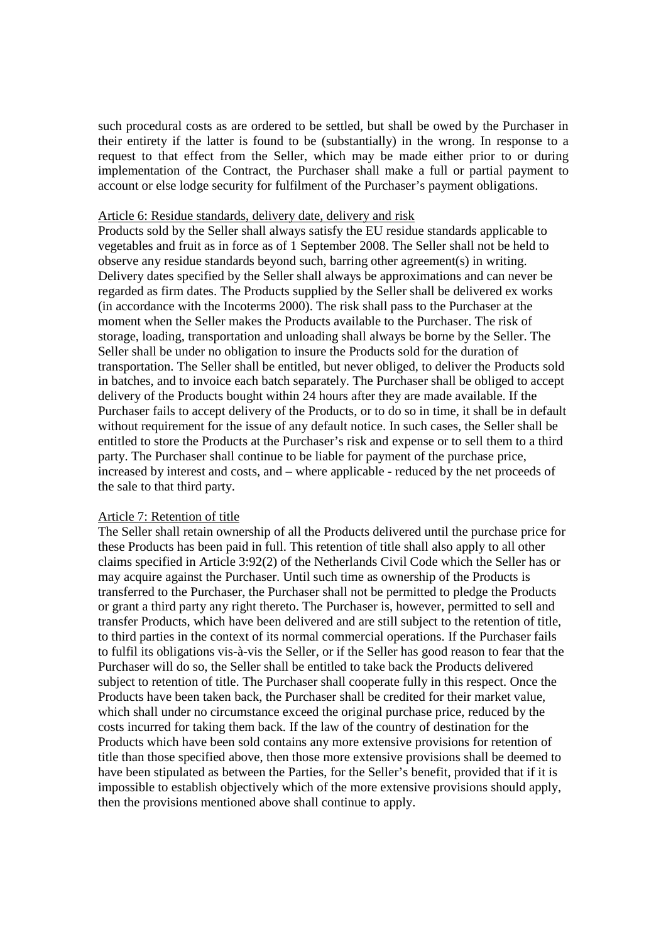such procedural costs as are ordered to be settled, but shall be owed by the Purchaser in their entirety if the latter is found to be (substantially) in the wrong. In response to a request to that effect from the Seller, which may be made either prior to or during implementation of the Contract, the Purchaser shall make a full or partial payment to account or else lodge security for fulfilment of the Purchaser's payment obligations.

### Article 6: Residue standards, delivery date, delivery and risk

Products sold by the Seller shall always satisfy the EU residue standards applicable to vegetables and fruit as in force as of 1 September 2008. The Seller shall not be held to observe any residue standards beyond such, barring other agreement(s) in writing. Delivery dates specified by the Seller shall always be approximations and can never be regarded as firm dates. The Products supplied by the Seller shall be delivered ex works (in accordance with the Incoterms 2000). The risk shall pass to the Purchaser at the moment when the Seller makes the Products available to the Purchaser. The risk of storage, loading, transportation and unloading shall always be borne by the Seller. The Seller shall be under no obligation to insure the Products sold for the duration of transportation. The Seller shall be entitled, but never obliged, to deliver the Products sold in batches, and to invoice each batch separately. The Purchaser shall be obliged to accept delivery of the Products bought within 24 hours after they are made available. If the Purchaser fails to accept delivery of the Products, or to do so in time, it shall be in default without requirement for the issue of any default notice. In such cases, the Seller shall be entitled to store the Products at the Purchaser's risk and expense or to sell them to a third party. The Purchaser shall continue to be liable for payment of the purchase price, increased by interest and costs, and – where applicable - reduced by the net proceeds of the sale to that third party.

#### Article 7: Retention of title

The Seller shall retain ownership of all the Products delivered until the purchase price for these Products has been paid in full. This retention of title shall also apply to all other claims specified in Article 3:92(2) of the Netherlands Civil Code which the Seller has or may acquire against the Purchaser. Until such time as ownership of the Products is transferred to the Purchaser, the Purchaser shall not be permitted to pledge the Products or grant a third party any right thereto. The Purchaser is, however, permitted to sell and transfer Products, which have been delivered and are still subject to the retention of title, to third parties in the context of its normal commercial operations. If the Purchaser fails to fulfil its obligations vis-à-vis the Seller, or if the Seller has good reason to fear that the Purchaser will do so, the Seller shall be entitled to take back the Products delivered subject to retention of title. The Purchaser shall cooperate fully in this respect. Once the Products have been taken back, the Purchaser shall be credited for their market value, which shall under no circumstance exceed the original purchase price, reduced by the costs incurred for taking them back. If the law of the country of destination for the Products which have been sold contains any more extensive provisions for retention of title than those specified above, then those more extensive provisions shall be deemed to have been stipulated as between the Parties, for the Seller's benefit, provided that if it is impossible to establish objectively which of the more extensive provisions should apply, then the provisions mentioned above shall continue to apply.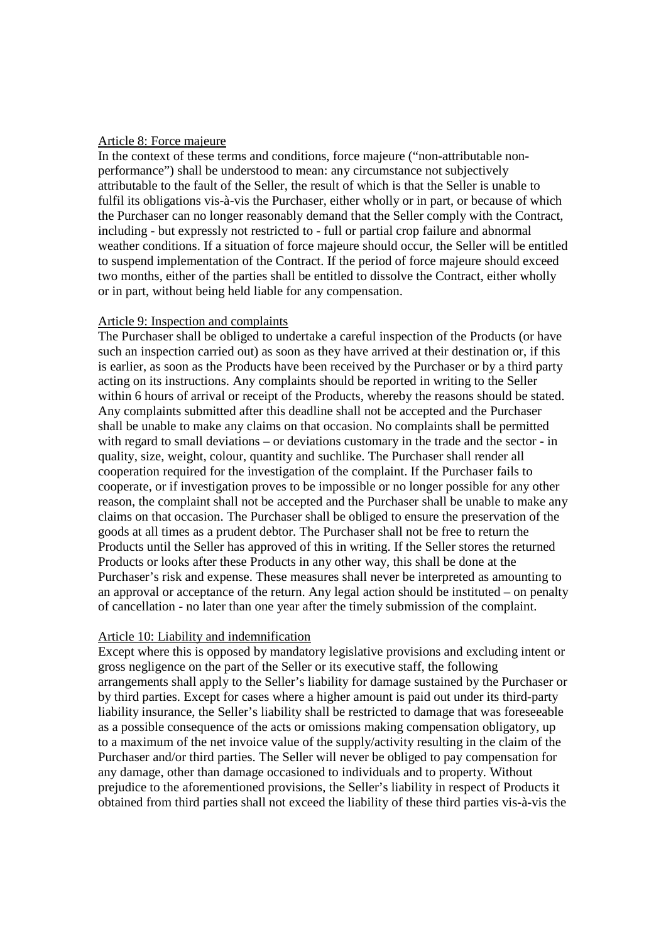### Article 8: Force majeure

In the context of these terms and conditions, force majeure ("non-attributable nonperformance") shall be understood to mean: any circumstance not subjectively attributable to the fault of the Seller, the result of which is that the Seller is unable to fulfil its obligations vis-à-vis the Purchaser, either wholly or in part, or because of which the Purchaser can no longer reasonably demand that the Seller comply with the Contract, including - but expressly not restricted to - full or partial crop failure and abnormal weather conditions. If a situation of force majeure should occur, the Seller will be entitled to suspend implementation of the Contract. If the period of force majeure should exceed two months, either of the parties shall be entitled to dissolve the Contract, either wholly or in part, without being held liable for any compensation.

## Article 9: Inspection and complaints

The Purchaser shall be obliged to undertake a careful inspection of the Products (or have such an inspection carried out) as soon as they have arrived at their destination or, if this is earlier, as soon as the Products have been received by the Purchaser or by a third party acting on its instructions. Any complaints should be reported in writing to the Seller within 6 hours of arrival or receipt of the Products, whereby the reasons should be stated. Any complaints submitted after this deadline shall not be accepted and the Purchaser shall be unable to make any claims on that occasion. No complaints shall be permitted with regard to small deviations – or deviations customary in the trade and the sector - in quality, size, weight, colour, quantity and suchlike. The Purchaser shall render all cooperation required for the investigation of the complaint. If the Purchaser fails to cooperate, or if investigation proves to be impossible or no longer possible for any other reason, the complaint shall not be accepted and the Purchaser shall be unable to make any claims on that occasion. The Purchaser shall be obliged to ensure the preservation of the goods at all times as a prudent debtor. The Purchaser shall not be free to return the Products until the Seller has approved of this in writing. If the Seller stores the returned Products or looks after these Products in any other way, this shall be done at the Purchaser's risk and expense. These measures shall never be interpreted as amounting to an approval or acceptance of the return. Any legal action should be instituted – on penalty of cancellation - no later than one year after the timely submission of the complaint.

# Article 10: Liability and indemnification

Except where this is opposed by mandatory legislative provisions and excluding intent or gross negligence on the part of the Seller or its executive staff, the following arrangements shall apply to the Seller's liability for damage sustained by the Purchaser or by third parties. Except for cases where a higher amount is paid out under its third-party liability insurance, the Seller's liability shall be restricted to damage that was foreseeable as a possible consequence of the acts or omissions making compensation obligatory, up to a maximum of the net invoice value of the supply/activity resulting in the claim of the Purchaser and/or third parties. The Seller will never be obliged to pay compensation for any damage, other than damage occasioned to individuals and to property. Without prejudice to the aforementioned provisions, the Seller's liability in respect of Products it obtained from third parties shall not exceed the liability of these third parties vis-à-vis the